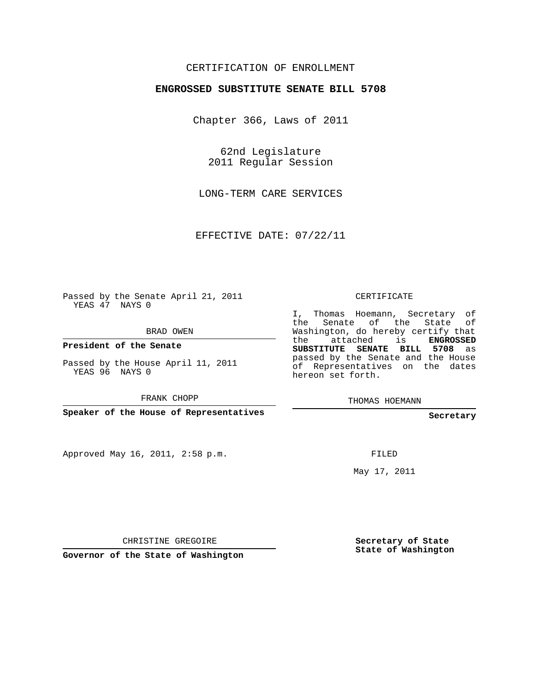## CERTIFICATION OF ENROLLMENT

## **ENGROSSED SUBSTITUTE SENATE BILL 5708**

Chapter 366, Laws of 2011

62nd Legislature 2011 Regular Session

LONG-TERM CARE SERVICES

EFFECTIVE DATE: 07/22/11

Passed by the Senate April 21, 2011 YEAS 47 NAYS 0

BRAD OWEN

**President of the Senate**

Passed by the House April 11, 2011 YEAS 96 NAYS 0

FRANK CHOPP

**Speaker of the House of Representatives**

Approved May 16, 2011, 2:58 p.m.

CERTIFICATE

I, Thomas Hoemann, Secretary of the Senate of the State of Washington, do hereby certify that the attached is **ENGROSSED SUBSTITUTE SENATE BILL 5708** as passed by the Senate and the House of Representatives on the dates hereon set forth.

THOMAS HOEMANN

**Secretary**

FILED

May 17, 2011

CHRISTINE GREGOIRE

**Governor of the State of Washington**

**Secretary of State State of Washington**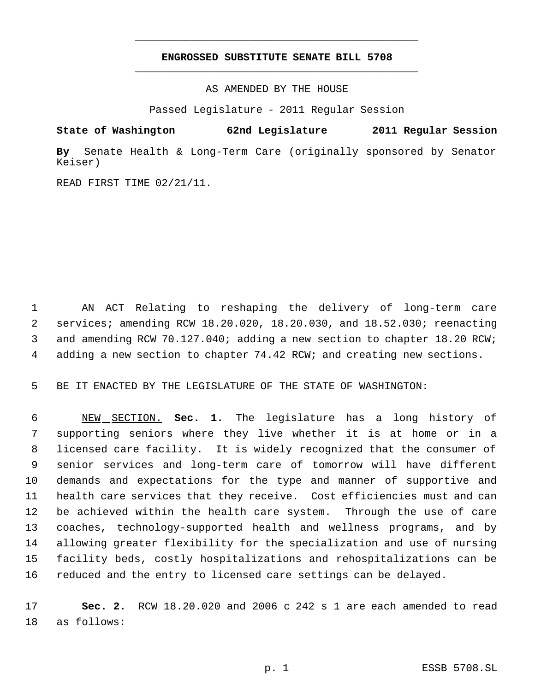## **ENGROSSED SUBSTITUTE SENATE BILL 5708** \_\_\_\_\_\_\_\_\_\_\_\_\_\_\_\_\_\_\_\_\_\_\_\_\_\_\_\_\_\_\_\_\_\_\_\_\_\_\_\_\_\_\_\_\_

\_\_\_\_\_\_\_\_\_\_\_\_\_\_\_\_\_\_\_\_\_\_\_\_\_\_\_\_\_\_\_\_\_\_\_\_\_\_\_\_\_\_\_\_\_

AS AMENDED BY THE HOUSE

Passed Legislature - 2011 Regular Session

**State of Washington 62nd Legislature 2011 Regular Session**

**By** Senate Health & Long-Term Care (originally sponsored by Senator Keiser)

READ FIRST TIME 02/21/11.

 AN ACT Relating to reshaping the delivery of long-term care services; amending RCW 18.20.020, 18.20.030, and 18.52.030; reenacting and amending RCW 70.127.040; adding a new section to chapter 18.20 RCW; adding a new section to chapter 74.42 RCW; and creating new sections.

BE IT ENACTED BY THE LEGISLATURE OF THE STATE OF WASHINGTON:

 NEW SECTION. **Sec. 1.** The legislature has a long history of supporting seniors where they live whether it is at home or in a licensed care facility. It is widely recognized that the consumer of senior services and long-term care of tomorrow will have different demands and expectations for the type and manner of supportive and health care services that they receive. Cost efficiencies must and can be achieved within the health care system. Through the use of care coaches, technology-supported health and wellness programs, and by allowing greater flexibility for the specialization and use of nursing facility beds, costly hospitalizations and rehospitalizations can be reduced and the entry to licensed care settings can be delayed.

 **Sec. 2.** RCW 18.20.020 and 2006 c 242 s 1 are each amended to read as follows: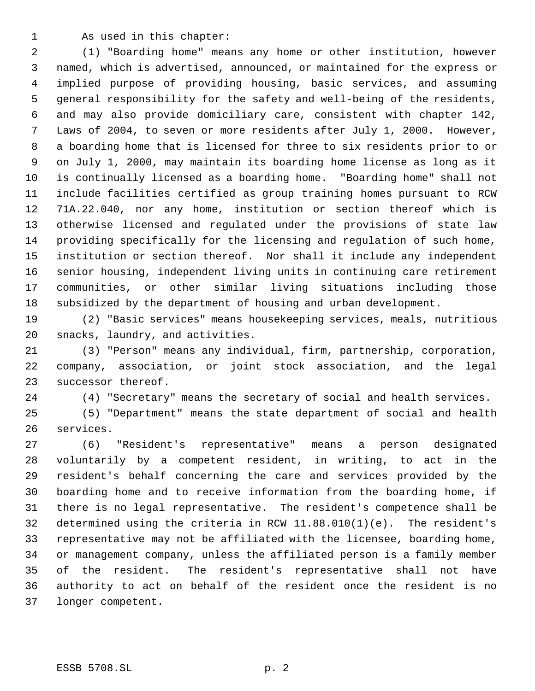As used in this chapter:

 (1) "Boarding home" means any home or other institution, however named, which is advertised, announced, or maintained for the express or implied purpose of providing housing, basic services, and assuming general responsibility for the safety and well-being of the residents, and may also provide domiciliary care, consistent with chapter 142, Laws of 2004, to seven or more residents after July 1, 2000. However, a boarding home that is licensed for three to six residents prior to or on July 1, 2000, may maintain its boarding home license as long as it is continually licensed as a boarding home. "Boarding home" shall not include facilities certified as group training homes pursuant to RCW 71A.22.040, nor any home, institution or section thereof which is otherwise licensed and regulated under the provisions of state law providing specifically for the licensing and regulation of such home, institution or section thereof. Nor shall it include any independent senior housing, independent living units in continuing care retirement communities, or other similar living situations including those subsidized by the department of housing and urban development.

 (2) "Basic services" means housekeeping services, meals, nutritious snacks, laundry, and activities.

 (3) "Person" means any individual, firm, partnership, corporation, company, association, or joint stock association, and the legal successor thereof.

(4) "Secretary" means the secretary of social and health services.

 (5) "Department" means the state department of social and health services.

 (6) "Resident's representative" means a person designated voluntarily by a competent resident, in writing, to act in the resident's behalf concerning the care and services provided by the boarding home and to receive information from the boarding home, if there is no legal representative. The resident's competence shall be determined using the criteria in RCW 11.88.010(1)(e). The resident's representative may not be affiliated with the licensee, boarding home, or management company, unless the affiliated person is a family member of the resident. The resident's representative shall not have authority to act on behalf of the resident once the resident is no longer competent.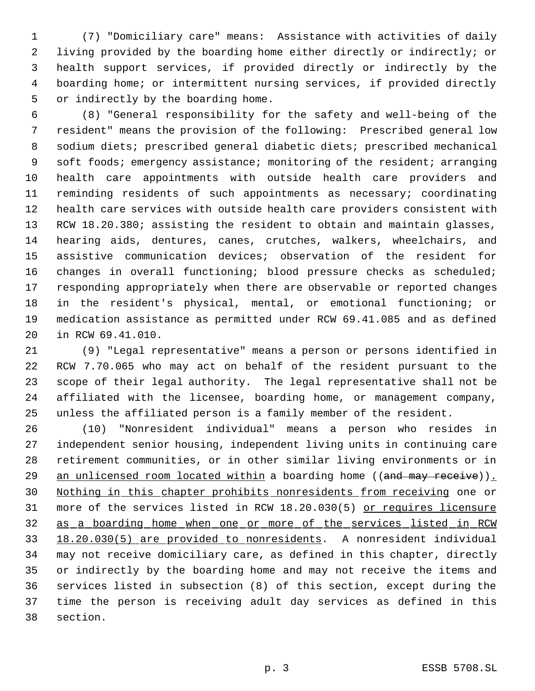(7) "Domiciliary care" means: Assistance with activities of daily living provided by the boarding home either directly or indirectly; or health support services, if provided directly or indirectly by the boarding home; or intermittent nursing services, if provided directly or indirectly by the boarding home.

- (8) "General responsibility for the safety and well-being of the resident" means the provision of the following: Prescribed general low sodium diets; prescribed general diabetic diets; prescribed mechanical 9 soft foods; emergency assistance; monitoring of the resident; arranging health care appointments with outside health care providers and reminding residents of such appointments as necessary; coordinating health care services with outside health care providers consistent with RCW 18.20.380; assisting the resident to obtain and maintain glasses, hearing aids, dentures, canes, crutches, walkers, wheelchairs, and assistive communication devices; observation of the resident for changes in overall functioning; blood pressure checks as scheduled; responding appropriately when there are observable or reported changes in the resident's physical, mental, or emotional functioning; or medication assistance as permitted under RCW 69.41.085 and as defined in RCW 69.41.010.
- (9) "Legal representative" means a person or persons identified in RCW 7.70.065 who may act on behalf of the resident pursuant to the scope of their legal authority. The legal representative shall not be affiliated with the licensee, boarding home, or management company, unless the affiliated person is a family member of the resident.

 (10) "Nonresident individual" means a person who resides in independent senior housing, independent living units in continuing care retirement communities, or in other similar living environments or in 29 an unlicensed room located within a boarding home ((and may receive)). Nothing in this chapter prohibits nonresidents from receiving one or more of the services listed in RCW 18.20.030(5) or requires licensure as a boarding home when one or more of the services listed in RCW 18.20.030(5) are provided to nonresidents. A nonresident individual may not receive domiciliary care, as defined in this chapter, directly or indirectly by the boarding home and may not receive the items and services listed in subsection (8) of this section, except during the time the person is receiving adult day services as defined in this section.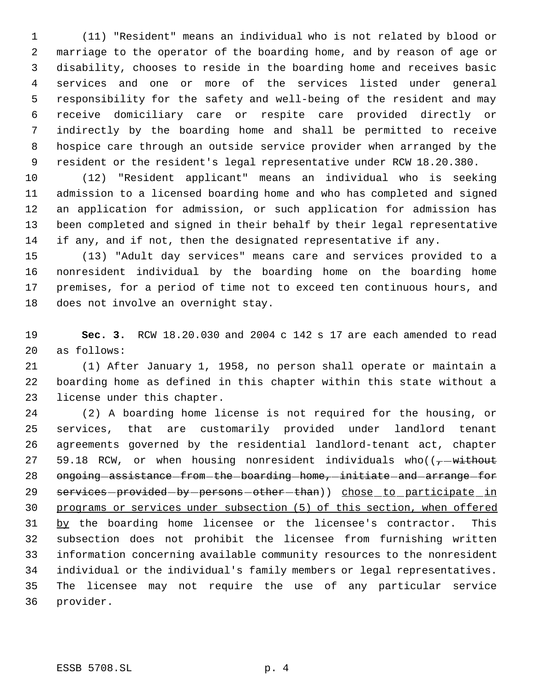(11) "Resident" means an individual who is not related by blood or marriage to the operator of the boarding home, and by reason of age or disability, chooses to reside in the boarding home and receives basic services and one or more of the services listed under general responsibility for the safety and well-being of the resident and may receive domiciliary care or respite care provided directly or indirectly by the boarding home and shall be permitted to receive hospice care through an outside service provider when arranged by the resident or the resident's legal representative under RCW 18.20.380.

 (12) "Resident applicant" means an individual who is seeking admission to a licensed boarding home and who has completed and signed an application for admission, or such application for admission has been completed and signed in their behalf by their legal representative if any, and if not, then the designated representative if any.

 (13) "Adult day services" means care and services provided to a nonresident individual by the boarding home on the boarding home premises, for a period of time not to exceed ten continuous hours, and does not involve an overnight stay.

 **Sec. 3.** RCW 18.20.030 and 2004 c 142 s 17 are each amended to read as follows:

 (1) After January 1, 1958, no person shall operate or maintain a boarding home as defined in this chapter within this state without a license under this chapter.

 (2) A boarding home license is not required for the housing, or services, that are customarily provided under landlord tenant agreements governed by the residential landlord-tenant act, chapter 27 59.18 RCW, or when housing nonresident individuals who( $(-$  -without 28 ongoing assistance from the boarding home, initiate and arrange for 29 services-provided-by-persons-other-than)) chose to participate in programs or services under subsection (5) of this section, when offered by the boarding home licensee or the licensee's contractor. This subsection does not prohibit the licensee from furnishing written information concerning available community resources to the nonresident individual or the individual's family members or legal representatives. The licensee may not require the use of any particular service provider.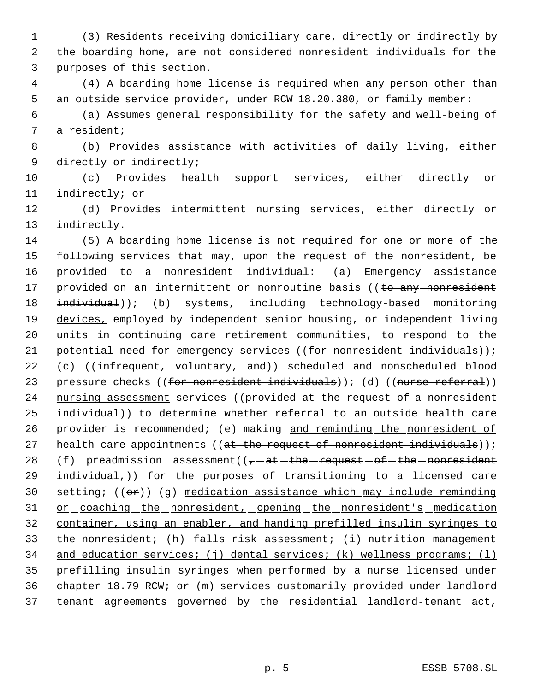1 (3) Residents receiving domiciliary care, directly or indirectly by 2 the boarding home, are not considered nonresident individuals for the 3 purposes of this section.

 4 (4) A boarding home license is required when any person other than 5 an outside service provider, under RCW 18.20.380, or family member:

 6 (a) Assumes general responsibility for the safety and well-being of 7 a resident;

 8 (b) Provides assistance with activities of daily living, either 9 directly or indirectly;

10 (c) Provides health support services, either directly or 11 indirectly; or

12 (d) Provides intermittent nursing services, either directly or 13 indirectly.

14 (5) A boarding home license is not required for one or more of the 15 following services that may, upon the request of the nonresident, be 16 provided to a nonresident individual: (a) Emergency assistance 17 provided on an intermittent or nonroutine basis ((to any nonresident 18 individual)); (b) systems<sub>1</sub> including technology-based monitoring 19 devices, employed by independent senior housing, or independent living 20 units in continuing care retirement communities, to respond to the 21 potential need for emergency services ((for nonresident individuals)); 22 (c) ((infrequent, -voluntary, -and)) scheduled and nonscheduled blood 23 pressure checks ((for nonresident individuals)); (d) ((nurse referral)) 24 nursing assessment services ((provided at the request of a nonresident 25 individual)) to determine whether referral to an outside health care 26 provider is recommended; (e) making and reminding the nonresident of 27 health care appointments (( $at$  the request of nonresident individuals)); 28 (f) preadmission assessment( $(-a + b + b)$  request of the nonresident 29  $intuitdual$ ,)) for the purposes of transitioning to a licensed care 30 setting;  $((e^*)$  (g) medication assistance which may include reminding 31 or coaching the nonresident, opening the nonresident's medication 32 container, using an enabler, and handing prefilled insulin syringes to 33 the nonresident; (h) falls risk assessment; (i) nutrition management 34 and education services; (j) dental services; (k) wellness programs; (l) 35 prefilling insulin syringes when performed by a nurse licensed under 36 chapter 18.79 RCW; or (m) services customarily provided under landlord 37 tenant agreements governed by the residential landlord-tenant act,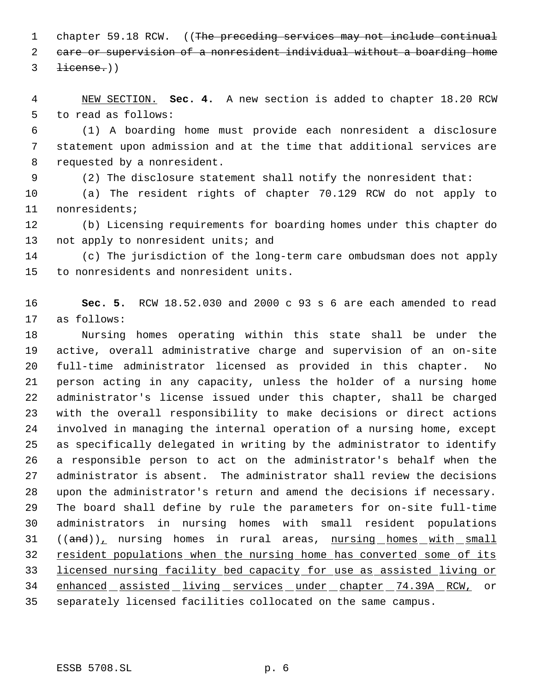1 chapter 59.18 RCW. ((The preceding services may not include continual care or supervision of a nonresident individual without a boarding home  $3 \text{ license.}$ 

 NEW SECTION. **Sec. 4.** A new section is added to chapter 18.20 RCW to read as follows:

 (1) A boarding home must provide each nonresident a disclosure statement upon admission and at the time that additional services are requested by a nonresident.

(2) The disclosure statement shall notify the nonresident that:

 (a) The resident rights of chapter 70.129 RCW do not apply to nonresidents;

 (b) Licensing requirements for boarding homes under this chapter do 13 not apply to nonresident units; and

 (c) The jurisdiction of the long-term care ombudsman does not apply to nonresidents and nonresident units.

 **Sec. 5.** RCW 18.52.030 and 2000 c 93 s 6 are each amended to read as follows:

 Nursing homes operating within this state shall be under the active, overall administrative charge and supervision of an on-site full-time administrator licensed as provided in this chapter. No person acting in any capacity, unless the holder of a nursing home administrator's license issued under this chapter, shall be charged with the overall responsibility to make decisions or direct actions involved in managing the internal operation of a nursing home, except as specifically delegated in writing by the administrator to identify a responsible person to act on the administrator's behalf when the administrator is absent. The administrator shall review the decisions upon the administrator's return and amend the decisions if necessary. The board shall define by rule the parameters for on-site full-time administrators in nursing homes with small resident populations  $((and))_1$  nursing homes in rural areas, nursing homes with small resident populations when the nursing home has converted some of its licensed nursing facility bed capacity for use as assisted living or 34 enhanced assisted living services under chapter 74.39A RCW, or separately licensed facilities collocated on the same campus.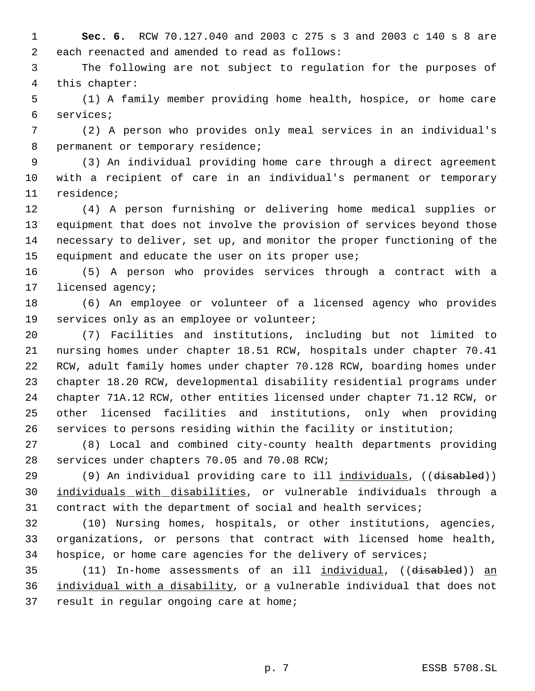**Sec. 6.** RCW 70.127.040 and 2003 c 275 s 3 and 2003 c 140 s 8 are each reenacted and amended to read as follows:

 The following are not subject to regulation for the purposes of this chapter:

 (1) A family member providing home health, hospice, or home care services;

 (2) A person who provides only meal services in an individual's 8 permanent or temporary residence;

 (3) An individual providing home care through a direct agreement with a recipient of care in an individual's permanent or temporary residence;

 (4) A person furnishing or delivering home medical supplies or equipment that does not involve the provision of services beyond those necessary to deliver, set up, and monitor the proper functioning of the equipment and educate the user on its proper use;

 (5) A person who provides services through a contract with a licensed agency;

 (6) An employee or volunteer of a licensed agency who provides services only as an employee or volunteer;

 (7) Facilities and institutions, including but not limited to nursing homes under chapter 18.51 RCW, hospitals under chapter 70.41 RCW, adult family homes under chapter 70.128 RCW, boarding homes under chapter 18.20 RCW, developmental disability residential programs under chapter 71A.12 RCW, other entities licensed under chapter 71.12 RCW, or other licensed facilities and institutions, only when providing services to persons residing within the facility or institution;

 (8) Local and combined city-county health departments providing services under chapters 70.05 and 70.08 RCW;

29 (9) An individual providing care to ill individuals, ((disabled)) individuals with disabilities, or vulnerable individuals through a contract with the department of social and health services;

 (10) Nursing homes, hospitals, or other institutions, agencies, organizations, or persons that contract with licensed home health, hospice, or home care agencies for the delivery of services;

35 (11) In-home assessments of an ill individual, ((disabled)) an 36 individual with a disability, or a vulnerable individual that does not 37 result in regular ongoing care at home;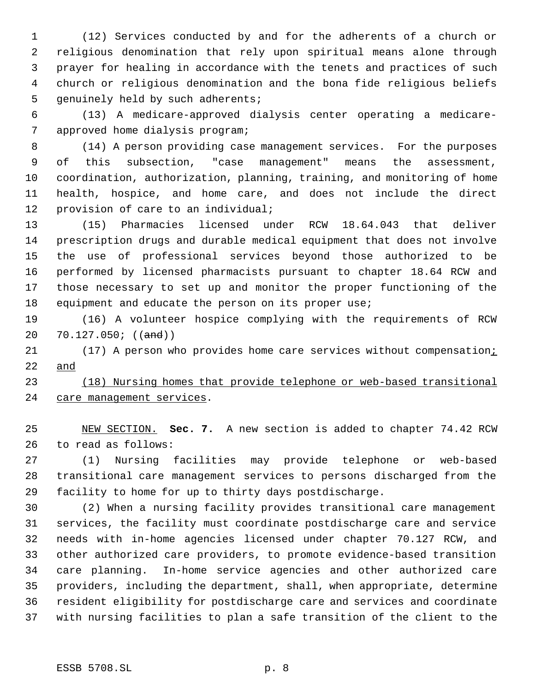(12) Services conducted by and for the adherents of a church or religious denomination that rely upon spiritual means alone through prayer for healing in accordance with the tenets and practices of such church or religious denomination and the bona fide religious beliefs 5 genuinely held by such adherents;

 (13) A medicare-approved dialysis center operating a medicare- approved home dialysis program;

 (14) A person providing case management services. For the purposes of this subsection, "case management" means the assessment, coordination, authorization, planning, training, and monitoring of home health, hospice, and home care, and does not include the direct provision of care to an individual;

 (15) Pharmacies licensed under RCW 18.64.043 that deliver prescription drugs and durable medical equipment that does not involve the use of professional services beyond those authorized to be performed by licensed pharmacists pursuant to chapter 18.64 RCW and those necessary to set up and monitor the proper functioning of the 18 equipment and educate the person on its proper use;

 (16) A volunteer hospice complying with the requirements of RCW 20 70.127.050; ((and))

21 (17) A person who provides home care services without compensation; and

 (18) Nursing homes that provide telephone or web-based transitional 24 care management services.

 NEW SECTION. **Sec. 7.** A new section is added to chapter 74.42 RCW to read as follows:

 (1) Nursing facilities may provide telephone or web-based transitional care management services to persons discharged from the facility to home for up to thirty days postdischarge.

 (2) When a nursing facility provides transitional care management services, the facility must coordinate postdischarge care and service needs with in-home agencies licensed under chapter 70.127 RCW, and other authorized care providers, to promote evidence-based transition care planning. In-home service agencies and other authorized care providers, including the department, shall, when appropriate, determine resident eligibility for postdischarge care and services and coordinate with nursing facilities to plan a safe transition of the client to the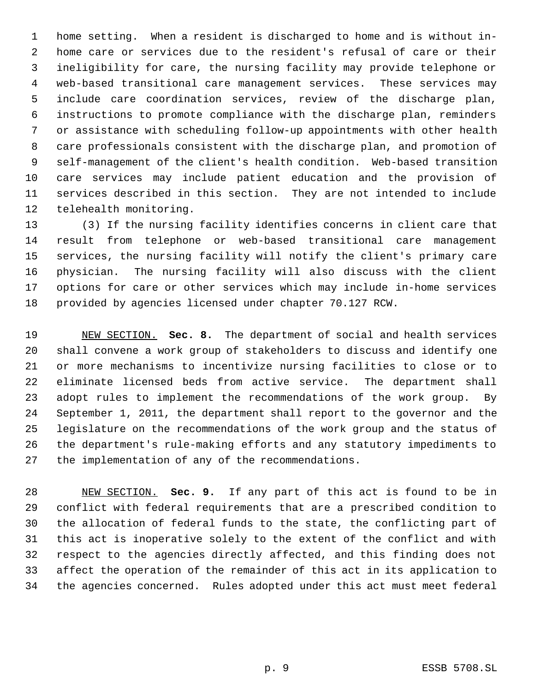home setting. When a resident is discharged to home and is without in- home care or services due to the resident's refusal of care or their ineligibility for care, the nursing facility may provide telephone or web-based transitional care management services. These services may include care coordination services, review of the discharge plan, instructions to promote compliance with the discharge plan, reminders or assistance with scheduling follow-up appointments with other health care professionals consistent with the discharge plan, and promotion of self-management of the client's health condition. Web-based transition care services may include patient education and the provision of services described in this section. They are not intended to include telehealth monitoring.

 (3) If the nursing facility identifies concerns in client care that result from telephone or web-based transitional care management services, the nursing facility will notify the client's primary care physician. The nursing facility will also discuss with the client options for care or other services which may include in-home services provided by agencies licensed under chapter 70.127 RCW.

 NEW SECTION. **Sec. 8.** The department of social and health services shall convene a work group of stakeholders to discuss and identify one or more mechanisms to incentivize nursing facilities to close or to eliminate licensed beds from active service. The department shall adopt rules to implement the recommendations of the work group. By September 1, 2011, the department shall report to the governor and the legislature on the recommendations of the work group and the status of the department's rule-making efforts and any statutory impediments to the implementation of any of the recommendations.

 NEW SECTION. **Sec. 9.** If any part of this act is found to be in conflict with federal requirements that are a prescribed condition to the allocation of federal funds to the state, the conflicting part of this act is inoperative solely to the extent of the conflict and with respect to the agencies directly affected, and this finding does not affect the operation of the remainder of this act in its application to the agencies concerned. Rules adopted under this act must meet federal